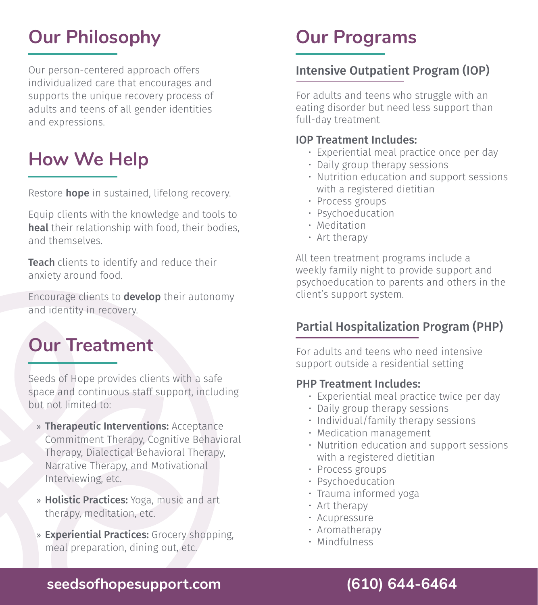# **Our Philosophy**

Our person-centered approach offers individualized care that encourages and supports the unique recovery process of adults and teens of all gender identities and expressions.

## **How We Help**

Restore **hope** in sustained, lifelong recovery.

Equip clients with the knowledge and tools to heal their relationship with food, their bodies, and themselves.

Teach clients to identify and reduce their anxiety around food.

Encourage clients to develop their autonomy and identity in recovery.

## **Our Treatment**

Seeds of Hope provides clients with a safe space and continuous staff support, including but not limited to:

- » Therapeutic Interventions: Acceptance Commitment Therapy, Cognitive Behavioral Therapy, Dialectical Behavioral Therapy, Narrative Therapy, and Motivational Interviewing, etc.
- » Holistic Practices: Yoga, music and art therapy, meditation, etc.
- » Experiential Practices: Grocery shopping, meal preparation, dining out, etc.

## **Our Programs**

## Intensive Outpatient Program (IOP)

For adults and teens who struggle with an eating disorder but need less support than full-day treatment

#### IOP Treatment Includes:

- Experiential meal practice once per day
- Daily group therapy sessions
- Nutrition education and support sessions with a registered dietitian
- Process groups
- Psychoeducation
- Meditation
- Art therapy

All teen treatment programs include a weekly family night to provide support and psychoeducation to parents and others in the client's support system.

### Partial Hospitalization Program (PHP)

For adults and teens who need intensive support outside a residential setting

#### PHP Treatment Includes:

- Experiential meal practice twice per day
- Daily group therapy sessions
- Individual/family therapy sessions
- Medication management
- Nutrition education and support sessions with a registered dietitian
- Process groups
- Psychoeducation
- Trauma informed yoga
- Art therapy
- Acupressure
- Aromatherapy
- Mindfulness

## **seedsofhopesupport.com (610) 644-6464**